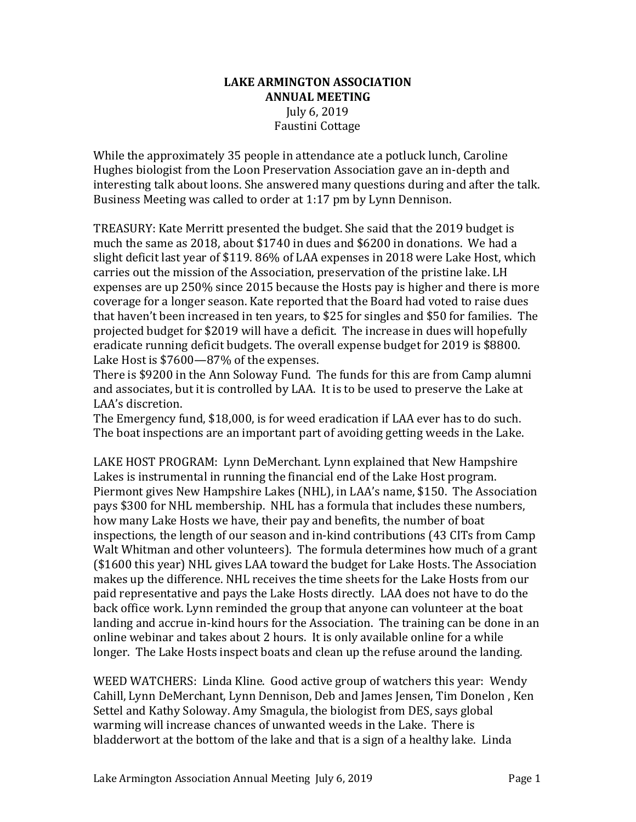## **LAKE ARMINGTON ASSOCIATION ANNUAL MEETING** July 6, 2019 Faustini Cottage

While the approximately 35 people in attendance ate a potluck lunch, Caroline Hughes biologist from the Loon Preservation Association gave an in-depth and interesting talk about loons. She answered many questions during and after the talk. Business Meeting was called to order at 1:17 pm by Lynn Dennison.

TREASURY: Kate Merritt presented the budget. She said that the 2019 budget is much the same as 2018, about \$1740 in dues and \$6200 in donations. We had a slight deficit last year of \$119. 86% of LAA expenses in 2018 were Lake Host, which carries out the mission of the Association, preservation of the pristine lake. LH expenses are up 250% since 2015 because the Hosts pay is higher and there is more coverage for a longer season. Kate reported that the Board had voted to raise dues that haven't been increased in ten years, to \$25 for singles and \$50 for families. The projected budget for \$2019 will have a deficit. The increase in dues will hopefully eradicate running deficit budgets. The overall expense budget for 2019 is \$8800. Lake Host is \$7600-87% of the expenses.

There is \$9200 in the Ann Soloway Fund. The funds for this are from Camp alumni and associates, but it is controlled by LAA. It is to be used to preserve the Lake at LAA's discretion.

The Emergency fund, \$18,000, is for weed eradication if LAA ever has to do such. The boat inspections are an important part of avoiding getting weeds in the Lake.

LAKE HOST PROGRAM: Lynn DeMerchant. Lynn explained that New Hampshire Lakes is instrumental in running the financial end of the Lake Host program. Piermont gives New Hampshire Lakes (NHL), in LAA's name, \$150. The Association pays \$300 for NHL membership. NHL has a formula that includes these numbers, how many Lake Hosts we have, their pay and benefits, the number of boat inspections, the length of our season and in-kind contributions (43 CITs from Camp Walt Whitman and other volunteers). The formula determines how much of a grant (\$1600 this year) NHL gives LAA toward the budget for Lake Hosts. The Association makes up the difference. NHL receives the time sheets for the Lake Hosts from our paid representative and pays the Lake Hosts directly. LAA does not have to do the back office work. Lynn reminded the group that anyone can volunteer at the boat landing and accrue in-kind hours for the Association. The training can be done in an online webinar and takes about 2 hours. It is only available online for a while longer. The Lake Hosts inspect boats and clean up the refuse around the landing.

WEED WATCHERS: Linda Kline. Good active group of watchers this year: Wendy Cahill, Lynn DeMerchant, Lynn Dennison, Deb and James Jensen, Tim Donelon , Ken Settel and Kathy Soloway. Amy Smagula, the biologist from DES, says global warming will increase chances of unwanted weeds in the Lake. There is bladderwort at the bottom of the lake and that is a sign of a healthy lake. Linda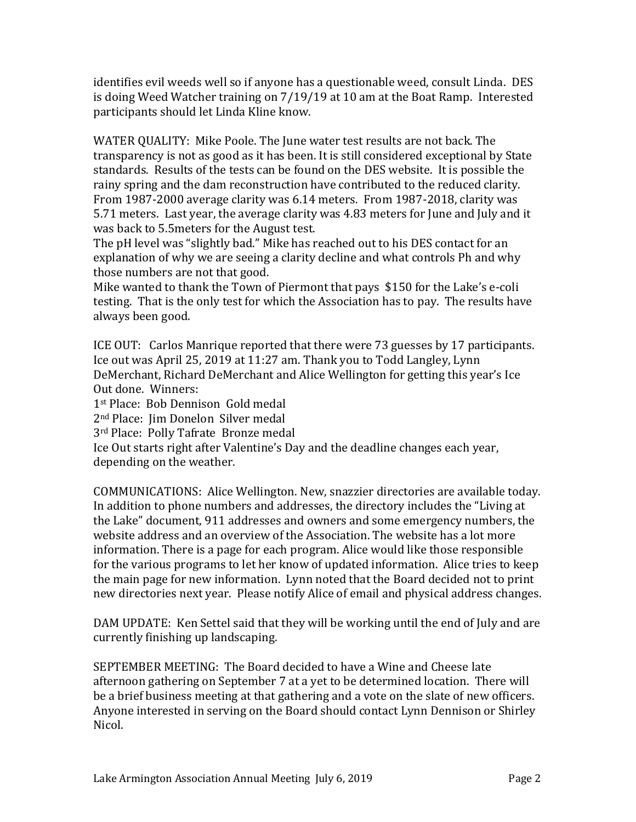identifies evil weeds well so if anyone has a questionable weed, consult Linda. DES is doing Weed Watcher training on 7/19/19 at 10 am at the Boat Ramp. Interested participants should let Linda Kline know.

WATER QUALITY: Mike Poole. The June water test results are not back. The transparency is not as good as it has been. It is still considered exceptional by State standards. Results of the tests can be found on the DES website. It is possible the rainy spring and the dam reconstruction have contributed to the reduced clarity. From 1987-2000 average clarity was 6.14 meters. From 1987-2018, clarity was 5.71 meters. Last year, the average clarity was 4.83 meters for June and July and it was back to 5.5meters for the August test.

The pH level was "slightly bad." Mike has reached out to his DES contact for an explanation of why we are seeing a clarity decline and what controls Ph and why those numbers are not that good.

Mike wanted to thank the Town of Piermont that pays \$150 for the Lake's e-coli testing. That is the only test for which the Association has to pay. The results have always been good.

ICE OUT: Carlos Manrique reported that there were 73 guesses by 17 participants. Ice out was April 25, 2019 at 11:27 am. Thank you to Todd Langley, Lynn DeMerchant, Richard DeMerchant and Alice Wellington for getting this year's Ice Out done. Winners:

1st Place: Bob Dennison Gold medal

2nd Place: Jim Donelon Silver medal

3rd Place: Polly Tafrate Bronze medal

Ice Out starts right after Valentine's Day and the deadline changes each year, depending on the weather.

COMMUNICATIONS: Alice Wellington. New, snazzier directories are available today. In addition to phone numbers and addresses, the directory includes the "Living at the Lake" document, 911 addresses and owners and some emergency numbers, the website address and an overview of the Association. The website has a lot more information. There is a page for each program. Alice would like those responsible for the various programs to let her know of updated information. Alice tries to keep the main page for new information. Lynn noted that the Board decided not to print new directories next year. Please notify Alice of email and physical address changes.

DAM UPDATE: Ken Settel said that they will be working until the end of July and are currently finishing up landscaping.

SEPTEMBER MEETING: The Board decided to have a Wine and Cheese late afternoon gathering on September 7 at a yet to be determined location. There will be a brief business meeting at that gathering and a vote on the slate of new officers. Anyone interested in serving on the Board should contact Lynn Dennison or Shirley Nicol.